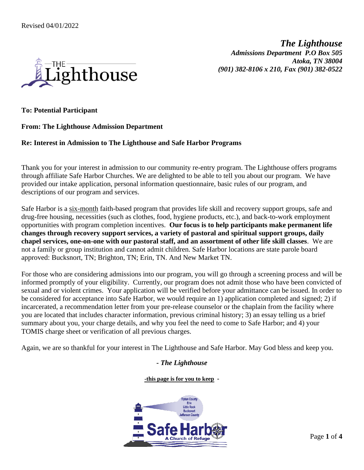

*The Lighthouse Admissions Department P.O Box 505 Atoka, TN 38004 (901) 382-8106 x 210, Fax (901) 382-0522*

**To: Potential Participant**

**From: The Lighthouse Admission Department**

## **Re: Interest in Admission to The Lighthouse and Safe Harbor Programs**

Thank you for your interest in admission to our community re-entry program. The Lighthouse offers programs through affiliate Safe Harbor Churches. We are delighted to be able to tell you about our program. We have provided our intake application, personal information questionnaire, basic rules of our program, and descriptions of our program and services.

Safe Harbor is a six-month faith-based program that provides life skill and recovery support groups, safe and drug-free housing, necessities (such as clothes, food, hygiene products, etc.), and back-to-work employment opportunities with program completion incentives. **Our focus is to help participants make permanent life changes through recovery support services, a variety of pastoral and spiritual support groups, daily chapel services, one-on-one with our pastoral staff, and an assortment of other life skill classes**. We are not a family or group institution and cannot admit children. Safe Harbor locations are state parole board approved: Bucksnort, TN; Brighton, TN; Erin, TN. And New Market TN.

For those who are considering admissions into our program, you will go through a screening process and will be informed promptly of your eligibility. Currently, our program does not admit those who have been convicted of sexual and or violent crimes. Your application will be verified before your admittance can be issued. In order to be considered for acceptance into Safe Harbor, we would require an 1) application completed and signed; 2) if incarcerated, a recommendation letter from your pre-release counselor or the chaplain from the facility where you are located that includes character information, previous criminal history; 3) an essay telling us a brief summary about you, your charge details, and why you feel the need to come to Safe Harbor; and 4) your TOMIS charge sheet or verification of all previous charges.

Again, we are so thankful for your interest in The Lighthouse and Safe Harbor. May God bless and keep you.

## *- The Lighthouse*

**-this page is for you to keep -**

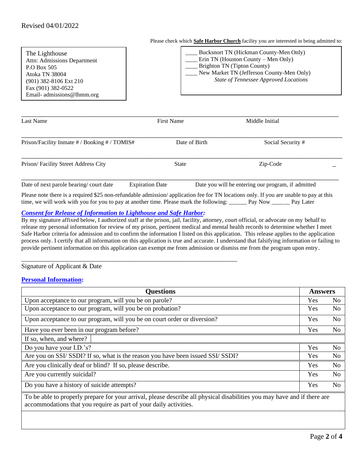The Lighthouse

P.O Box 505 Atoka TN 38004 (901) 382-8106 Ext 210 Fax (901) 382-0522

Attn: Admissions Department

Email- admissions@lhmm.org

Please check which **Safe Harbor Church** facility you are interested in being admitted to:

Bucksnort TN (Hickman County-Men Only) Erin TN (Houston County – Men Only) Brighton TN (Tipton County) New Market TN (Jefferson County-Men Only) *State of Tennessee Approved Locations*

| Last Name                                     | <b>First Name</b>      | Middle Initial                                     |  |
|-----------------------------------------------|------------------------|----------------------------------------------------|--|
| Prison/Facility Inmate # / Booking # / TOMIS# | Date of Birth          | Social Security #                                  |  |
| Prison/Facility Street Address City           | <b>State</b>           | Zip-Code                                           |  |
| Date of next parole hearing/court date        | <b>Expiration Date</b> | Date you will be entering our program, if admitted |  |

Please note there is a required \$25 non-refundable admission/ application fee for TN locations only. If you are unable to pay at this time, we will work with you for you to pay at another time. Please mark the following: \_\_\_\_\_\_ Pay Now \_\_\_\_\_\_ Pay Later

### *Consent for Release of Information to Lighthouse and Safe Harbor:*

\_\_\_\_\_\_\_\_\_\_\_\_\_\_\_\_\_\_\_\_\_\_\_\_\_\_\_\_\_\_\_\_\_\_\_\_\_\_\_\_\_\_\_\_\_\_\_\_\_\_\_\_\_\_\_\_\_\_\_\_\_\_\_\_\_\_

By my signature affixed below, I authorized staff at the prison, jail, facility, attorney, court official, or advocate on my behalf to release my personal information for review of my prison, pertinent medical and mental health records to determine whether I meet Safe Harbor criteria for admission and to confirm the information I listed on this application. This release applies to the application process only. I certify that all information on this application is true and accurate. I understand that falsifying information or failing to provide pertinent information on this application can exempt me from admission or dismiss me from the program upon entry.

### Signature of Applicant & Date

### **Personal Information:**

| <b>Questions</b>                                                                                                                                                                              |            | <b>Answers</b> |  |
|-----------------------------------------------------------------------------------------------------------------------------------------------------------------------------------------------|------------|----------------|--|
| Upon acceptance to our program, will you be on parole?                                                                                                                                        | Yes        | N <sub>0</sub> |  |
| Upon acceptance to our program, will you be on probation?                                                                                                                                     |            | N <sub>0</sub> |  |
| Upon acceptance to our program, will you be on court order or diversion?                                                                                                                      |            | N <sub>0</sub> |  |
| Have you ever been in our program before?                                                                                                                                                     | Yes        | N <sub>0</sub> |  |
| If so, when, and where?                                                                                                                                                                       |            |                |  |
| Do you have your I.D.'s?                                                                                                                                                                      | Yes        | N <sub>o</sub> |  |
| Are you on SSI/SSDI? If so, what is the reason you have been issued SSI/SSDI?                                                                                                                 | Yes        | N <sub>0</sub> |  |
| Are you clinically deaf or blind? If so, please describe.                                                                                                                                     | <b>Yes</b> | N <sub>o</sub> |  |
| Are you currently suicidal?                                                                                                                                                                   | Yes        | N <sub>0</sub> |  |
| Do you have a history of suicide attempts?                                                                                                                                                    | Yes        | N <sub>0</sub> |  |
| To be able to properly prepare for your arrival, please describe all physical disabilities you may have and if there are<br>accommodations that you require as part of your daily activities. |            |                |  |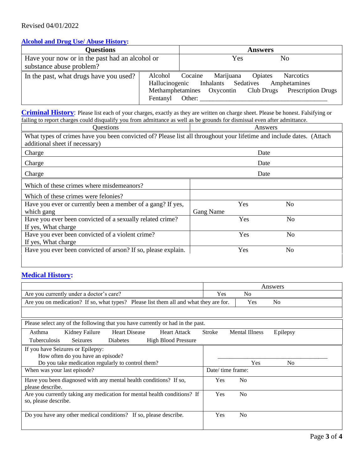## **Alcohol and Drug Use/ Abuse History:**

| <b>Questions</b>                               |          | <b>Answers</b> |                                                                                                |  |                                                          |
|------------------------------------------------|----------|----------------|------------------------------------------------------------------------------------------------|--|----------------------------------------------------------|
| Have your now or in the past had an alcohol or |          |                | Yes                                                                                            |  | No                                                       |
| substance abuse problem?                       |          |                |                                                                                                |  |                                                          |
| In the past, what drugs have you used?         | Fentanyl | Other:         | Alcohol Cocaine Marijuana Opiates Narcotics<br>Hallucinogenic Inhalants Sedatives Amphetamines |  | Methamphetamines Oxycontin Club Drugs Prescription Drugs |

**Criminal History**: Please list each of your charges, exactly as they are written on charge sheet. Please be honest. Falsifying or failing to report charges could disqualify you from admittance as well as be grounds for dismissal even after admittance.

| Questions                                                                                                                                              | Answers    |                |  |  |  |
|--------------------------------------------------------------------------------------------------------------------------------------------------------|------------|----------------|--|--|--|
| What types of crimes have you been convicted of? Please list all throughout your lifetime and include dates. (Attach<br>additional sheet if necessary) |            |                |  |  |  |
| Charge                                                                                                                                                 | Date       |                |  |  |  |
| Charge                                                                                                                                                 | Date       |                |  |  |  |
| Charge                                                                                                                                                 | Date       |                |  |  |  |
| Which of these crimes where misdemeanors?                                                                                                              |            |                |  |  |  |
| Which of these crimes were felonies?                                                                                                                   |            |                |  |  |  |
| Have you ever or currently been a member of a gang? If yes,                                                                                            | Yes        | N <sub>0</sub> |  |  |  |
| which gang                                                                                                                                             | Gang Name  |                |  |  |  |
| Have you ever been convicted of a sexually related crime?                                                                                              | <b>Yes</b> | N <sub>0</sub> |  |  |  |
| If yes, What charge                                                                                                                                    |            |                |  |  |  |
| Have you ever been convicted of a violent crime?                                                                                                       | Yes        | N <sub>0</sub> |  |  |  |
| If yes, What charge                                                                                                                                    |            |                |  |  |  |
| Have you ever been convicted of arson? If so, please explain.                                                                                          | Yes        | N <sub>0</sub> |  |  |  |
|                                                                                                                                                        |            |                |  |  |  |

# **Medical History:**

| Answers                                                                                                               |  |  |
|-----------------------------------------------------------------------------------------------------------------------|--|--|
| Yes<br>N <sub>0</sub>                                                                                                 |  |  |
| Are you on medication? If so, what types? Please list them all and what they are for.<br><b>Yes</b><br>N <sub>0</sub> |  |  |
|                                                                                                                       |  |  |
| Please select any of the following that you have currently or had in the past.                                        |  |  |
| Stroke<br><b>Mental Illness</b><br>Epilepsy                                                                           |  |  |
|                                                                                                                       |  |  |
|                                                                                                                       |  |  |
|                                                                                                                       |  |  |
| <b>Yes</b><br>N <sub>0</sub>                                                                                          |  |  |
| Date/ time frame:                                                                                                     |  |  |
| <b>Yes</b><br>N <sub>0</sub>                                                                                          |  |  |
|                                                                                                                       |  |  |
| <b>Yes</b><br>N <sub>0</sub>                                                                                          |  |  |
|                                                                                                                       |  |  |
| <b>Yes</b><br>N <sub>0</sub>                                                                                          |  |  |
|                                                                                                                       |  |  |
|                                                                                                                       |  |  |